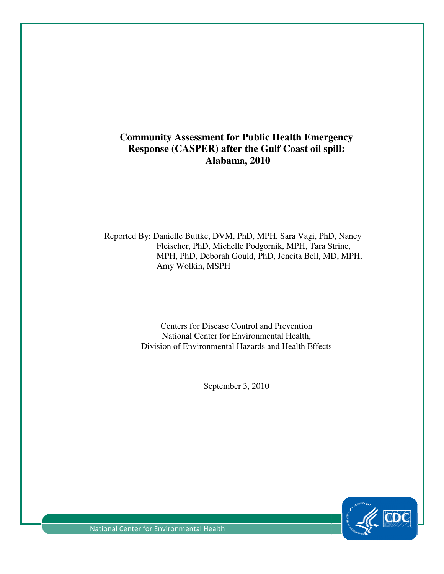# **Community Assessment for Public Health Emergency Response (CASPER) after the Gulf Coast oil spill: Alabama, 2010**

Reported By: Danielle Buttke, DVM, PhD, MPH, Sara Vagi, PhD, Nancy Fleischer, PhD, Michelle Podgornik, MPH, Tara Strine, MPH, PhD, Deborah Gould, PhD, Jeneita Bell, MD, MPH, Amy Wolkin, MSPH Community Assessment for Public Health Emergency<br>
Response (CASPER) after the Gulf Coast oil spill:<br>
Alabama, 2010<br>
Heischer, PhD, Michelle Polgornik, MPH, Sara Vagi, PhD, Nan<br>
Hericher, PhD, Michelle Podgornik, MPH, Tara

Centers for Disease Control and Prevention Centers for Disease Control and Prevention<br>National Center for Environmental Health, Division of Environmental Hazards and Health Effects

September 3, 2010



National Center for Environmental Health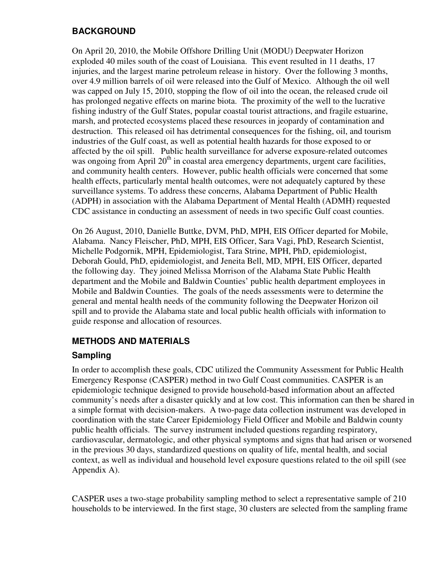## **BACKGROUND**

On April 20, 2010, the Mobile Offshore Drilling Unit (MODU) Deepwater Horizon exploded 40 miles south of the coast of Louisiana. This event resulted in 11 deaths, 17 injuries, and the largest marine petroleum release in history. Over the following 3 months, over 4.9 million barrels of oil were released into the Gulf of Mexico. Although the oil well was capped on July 15, 2010, stopping the flow of oil into the ocean, the released crude oil has prolonged negative effects on marine biota. The proximity of the well to the lucrative fishing industry of the Gulf States, popular coastal tourist attractions, and fragile estuarine, marsh, and protected ecosystems placed these resources in jeopardy of contamination and destruction. This released oil has detrimental consequences for the fishing, oil, and tourism industries of the Gulf coast, as well as potential health hazards for those exposed to or affected by the oil spill. Public health surveillance for adverse exposure-related outcomes was ongoing from April  $20<sup>th</sup>$  in coastal area emergency departments, urgent care facilities, and community health centers. However, public health officials were concerned that some health effects, particularly mental health outcomes, were not adequately captured by these surveillance systems. To address these concerns, Alabama Department of Public Health (ADPH) in association with the Alabama Department of Mental Health (ADMH) requested CDC assistance in conducting an assessment of needs in two specific Gulf coast counties.

On 26 August, 2010, Danielle Buttke, DVM, PhD, MPH, EIS Officer departed for Mobile, Alabama. Nancy Fleischer, PhD, MPH, EIS Officer, Sara Vagi, PhD, Research Scientist, Michelle Podgornik, MPH, Epidemiologist, Tara Strine, MPH, PhD, epidemiologist, Deborah Gould, PhD, epidemiologist, and Jeneita Bell, MD, MPH, EIS Officer, departed the following day. They joined Melissa Morrison of the Alabama State Public Health department and the Mobile and Baldwin Counties' public health department employees in Mobile and Baldwin Counties. The goals of the needs assessments were to determine the general and mental health needs of the community following the Deepwater Horizon oil spill and to provide the Alabama state and local public health officials with information to guide response and allocation of resources.

## **METHODS AND MATERIALS**

#### **Sampling**

In order to accomplish these goals, CDC utilized the Community Assessment for Public Health Emergency Response (CASPER) method in two Gulf Coast communities. CASPER is an epidemiologic technique designed to provide household-based information about an affected community's needs after a disaster quickly and at low cost. This information can then be shared in a simple format with decision-makers. A two-page data collection instrument was developed in coordination with the state Career Epidemiology Field Officer and Mobile and Baldwin county public health officials. The survey instrument included questions regarding respiratory, cardiovascular, dermatologic, and other physical symptoms and signs that had arisen or worsened in the previous 30 days, standardized questions on quality of life, mental health, and social context, as well as individual and household level exposure questions related to the oil spill (see Appendix A).

CASPER uses a two-stage probability sampling method to select a representative sample of 210 households to be interviewed. In the first stage, 30 clusters are selected from the sampling frame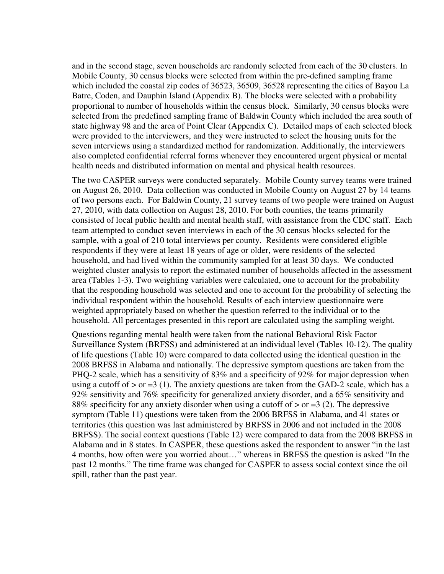and in the second stage, seven households are randomly selected from each of the 30 clusters. In Mobile County, 30 census blocks were selected from within the pre-defined sampling frame which included the coastal zip codes of 36523, 36509, 36528 representing the cities of Bayou La Batre, Coden, and Dauphin Island (Appendix B). The blocks were selected with a probability proportional to number of households within the census block. Similarly, 30 census blocks were selected from the predefined sampling frame of Baldwin County which included the area south of state highway 98 and the area of Point Clear (Appendix C). Detailed maps of each selected block were provided to the interviewers, and they were instructed to select the housing units for the seven interviews using a standardized method for randomization. Additionally, the interviewers also completed confidential referral forms whenever they encountered urgent physical or mental health needs and distributed information on mental and physical health resources.

The two CASPER surveys were conducted separately. Mobile County survey teams were trained on August 26, 2010. Data collection was conducted in Mobile County on August 27 by 14 teams of two persons each. For Baldwin County, 21 survey teams of two people were trained on August 27, 2010, with data collection on August 28, 2010. For both counties, the teams primarily consisted of local public health and mental health staff, with assistance from the CDC staff. Each team attempted to conduct seven interviews in each of the 30 census blocks selected for the sample, with a goal of 210 total interviews per county. Residents were considered eligible respondents if they were at least 18 years of age or older, were residents of the selected household, and had lived within the community sampled for at least 30 days. We conducted weighted cluster analysis to report the estimated number of households affected in the assessment area (Tables 1-3). Two weighting variables were calculated, one to account for the probability that the responding household was selected and one to account for the probability of selecting the individual respondent within the household. Results of each interview questionnaire were weighted appropriately based on whether the question referred to the individual or to the household. All percentages presented in this report are calculated using the sampling weight.

Questions regarding mental health were taken from the national Behavioral Risk Factor Surveillance System (BRFSS) and administered at an individual level (Tables 10-12). The quality of life questions (Table 10) were compared to data collected using the identical question in the 2008 BRFSS in Alabama and nationally. The depressive symptom questions are taken from the PHQ-2 scale, which has a sensitivity of 83% and a specificity of 92% for major depression when using a cutoff of  $>$  or =3 (1). The anxiety questions are taken from the GAD-2 scale, which has a 92% sensitivity and 76% specificity for generalized anxiety disorder, and a 65% sensitivity and 88% specificity for any anxiety disorder when using a cutoff of  $>$  or  $=$  3 (2). The depressive symptom (Table 11) questions were taken from the 2006 BRFSS in Alabama, and 41 states or territories (this question was last administered by BRFSS in 2006 and not included in the 2008 BRFSS). The social context questions (Table 12) were compared to data from the 2008 BRFSS in Alabama and in 8 states. In CASPER, these questions asked the respondent to answer "in the last 4 months, how often were you worried about…" whereas in BRFSS the question is asked "In the past 12 months." The time frame was changed for CASPER to assess social context since the oil spill, rather than the past year.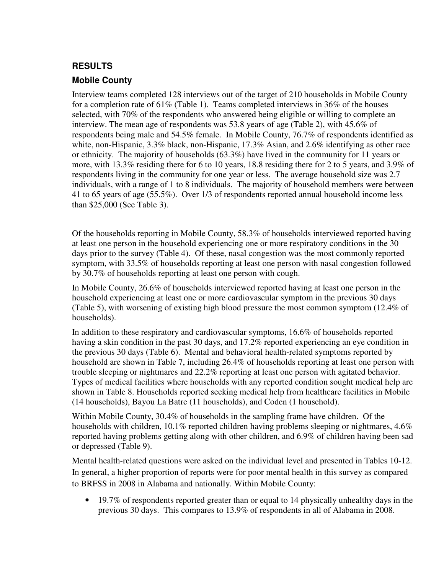## **RESULTS**

#### **Mobile County**

Interview teams completed 128 interviews out of the target of 210 households in Mobile County for a completion rate of 61% (Table 1). Teams completed interviews in 36% of the houses selected, with 70% of the respondents who answered being eligible or willing to complete an interview. The mean age of respondents was 53.8 years of age (Table 2), with 45.6% of respondents being male and 54.5% female. In Mobile County, 76.7% of respondents identified as white, non-Hispanic, 3.3% black, non-Hispanic, 17.3% Asian, and 2.6% identifying as other race or ethnicity. The majority of households (63.3%) have lived in the community for 11 years or more, with 13.3% residing there for 6 to 10 years, 18.8 residing there for 2 to 5 years, and 3.9% of respondents living in the community for one year or less. The average household size was 2.7 individuals, with a range of 1 to 8 individuals. The majority of household members were between 41 to 65 years of age (55.5%). Over 1/3 of respondents reported annual household income less than \$25,000 (See Table 3).

Of the households reporting in Mobile County, 58.3% of households interviewed reported having at least one person in the household experiencing one or more respiratory conditions in the 30 days prior to the survey (Table 4). Of these, nasal congestion was the most commonly reported symptom, with 33.5% of households reporting at least one person with nasal congestion followed by 30.7% of households reporting at least one person with cough.

In Mobile County, 26.6% of households interviewed reported having at least one person in the household experiencing at least one or more cardiovascular symptom in the previous 30 days (Table 5), with worsening of existing high blood pressure the most common symptom (12.4% of households).

In addition to these respiratory and cardiovascular symptoms, 16.6% of households reported having a skin condition in the past 30 days, and 17.2% reported experiencing an eye condition in the previous 30 days (Table 6). Mental and behavioral health-related symptoms reported by household are shown in Table 7, including 26.4% of households reporting at least one person with trouble sleeping or nightmares and 22.2% reporting at least one person with agitated behavior. Types of medical facilities where households with any reported condition sought medical help are shown in Table 8. Households reported seeking medical help from healthcare facilities in Mobile (14 households), Bayou La Batre (11 households), and Coden (1 household).

Within Mobile County, 30.4% of households in the sampling frame have children. Of the households with children, 10.1% reported children having problems sleeping or nightmares, 4.6% reported having problems getting along with other children, and 6.9% of children having been sad or depressed (Table 9).

Mental health-related questions were asked on the individual level and presented in Tables 10-12. In general, a higher proportion of reports were for poor mental health in this survey as compared to BRFSS in 2008 in Alabama and nationally. Within Mobile County:

• 19.7% of respondents reported greater than or equal to 14 physically unhealthy days in the previous 30 days. This compares to 13.9% of respondents in all of Alabama in 2008.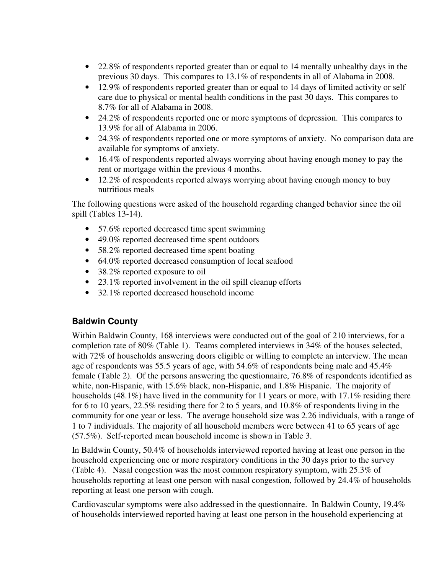- 22.8% of respondents reported greater than or equal to 14 mentally unhealthy days in the previous 30 days. This compares to 13.1% of respondents in all of Alabama in 2008.
- 12.9% of respondents reported greater than or equal to 14 days of limited activity or self care due to physical or mental health conditions in the past 30 days. This compares to 8.7% for all of Alabama in 2008.
- 24.2% of respondents reported one or more symptoms of depression. This compares to 13.9% for all of Alabama in 2006.
- 24.3% of respondents reported one or more symptoms of anxiety. No comparison data are available for symptoms of anxiety.
- 16.4% of respondents reported always worrying about having enough money to pay the rent or mortgage within the previous 4 months.
- 12.2% of respondents reported always worrying about having enough money to buy nutritious meals

The following questions were asked of the household regarding changed behavior since the oil spill (Tables 13-14).

- 57.6% reported decreased time spent swimming
- 49.0% reported decreased time spent outdoors
- 58.2% reported decreased time spent boating
- 64.0% reported decreased consumption of local seafood
- 38.2% reported exposure to oil
- 23.1% reported involvement in the oil spill cleanup efforts
- 32.1% reported decreased household income

#### **Baldwin County**

Within Baldwin County, 168 interviews were conducted out of the goal of 210 interviews, for a completion rate of 80% (Table 1). Teams completed interviews in 34% of the houses selected, with 72% of households answering doors eligible or willing to complete an interview. The mean age of respondents was 55.5 years of age, with 54.6% of respondents being male and 45.4% female (Table 2). Of the persons answering the questionnaire, 76.8% of respondents identified as white, non-Hispanic, with 15.6% black, non-Hispanic, and 1.8% Hispanic. The majority of households (48.1%) have lived in the community for 11 years or more, with 17.1% residing there for 6 to 10 years, 22.5% residing there for 2 to 5 years, and 10.8% of respondents living in the community for one year or less. The average household size was 2.26 individuals, with a range of 1 to 7 individuals. The majority of all household members were between 41 to 65 years of age (57.5%). Self-reported mean household income is shown in Table 3.

In Baldwin County, 50.4% of households interviewed reported having at least one person in the household experiencing one or more respiratory conditions in the 30 days prior to the survey (Table 4). Nasal congestion was the most common respiratory symptom, with 25.3% of households reporting at least one person with nasal congestion, followed by 24.4% of households reporting at least one person with cough.

Cardiovascular symptoms were also addressed in the questionnaire. In Baldwin County, 19.4% of households interviewed reported having at least one person in the household experiencing at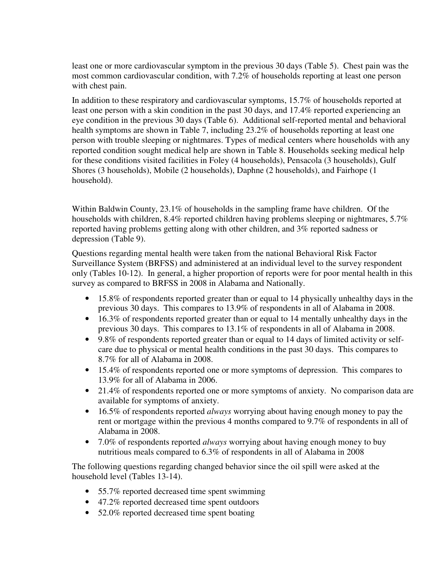least one or more cardiovascular symptom in the previous 30 days (Table 5). Chest pain was the most common cardiovascular condition, with 7.2% of households reporting at least one person with chest pain.

In addition to these respiratory and cardiovascular symptoms, 15.7% of households reported at least one person with a skin condition in the past 30 days, and 17.4% reported experiencing an eye condition in the previous 30 days (Table 6). Additional self-reported mental and behavioral health symptoms are shown in Table 7, including 23.2% of households reporting at least one person with trouble sleeping or nightmares. Types of medical centers where households with any reported condition sought medical help are shown in Table 8. Households seeking medical help for these conditions visited facilities in Foley (4 households), Pensacola (3 households), Gulf Shores (3 households), Mobile (2 households), Daphne (2 households), and Fairhope (1 household).

Within Baldwin County, 23.1% of households in the sampling frame have children. Of the households with children, 8.4% reported children having problems sleeping or nightmares, 5.7% reported having problems getting along with other children, and 3% reported sadness or depression (Table 9).

Questions regarding mental health were taken from the national Behavioral Risk Factor Surveillance System (BRFSS) and administered at an individual level to the survey respondent only (Tables 10-12). In general, a higher proportion of reports were for poor mental health in this survey as compared to BRFSS in 2008 in Alabama and Nationally.

- 15.8% of respondents reported greater than or equal to 14 physically unhealthy days in the previous 30 days. This compares to 13.9% of respondents in all of Alabama in 2008.
- 16.3% of respondents reported greater than or equal to 14 mentally unhealthy days in the previous 30 days. This compares to 13.1% of respondents in all of Alabama in 2008.
- 9.8% of respondents reported greater than or equal to 14 days of limited activity or selfcare due to physical or mental health conditions in the past 30 days. This compares to 8.7% for all of Alabama in 2008.
- 15.4% of respondents reported one or more symptoms of depression. This compares to 13.9% for all of Alabama in 2006.
- 21.4% of respondents reported one or more symptoms of anxiety. No comparison data are available for symptoms of anxiety.
- 16.5% of respondents reported *always* worrying about having enough money to pay the rent or mortgage within the previous 4 months compared to 9.7% of respondents in all of Alabama in 2008.
- 7.0% of respondents reported *always* worrying about having enough money to buy nutritious meals compared to 6.3% of respondents in all of Alabama in 2008

The following questions regarding changed behavior since the oil spill were asked at the household level (Tables 13-14).

- 55.7% reported decreased time spent swimming
- 47.2% reported decreased time spent outdoors
- 52.0% reported decreased time spent boating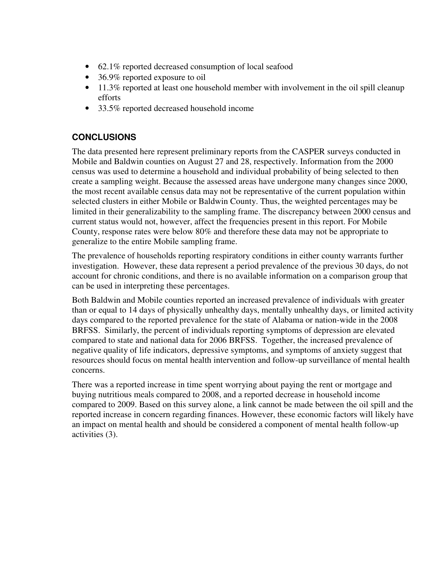- 62.1% reported decreased consumption of local seafood
- 36.9% reported exposure to oil
- 11.3% reported at least one household member with involvement in the oil spill cleanup efforts
- 33.5% reported decreased household income

## **CONCLUSIONS**

The data presented here represent preliminary reports from the CASPER surveys conducted in Mobile and Baldwin counties on August 27 and 28, respectively. Information from the 2000 census was used to determine a household and individual probability of being selected to then create a sampling weight. Because the assessed areas have undergone many changes since 2000, the most recent available census data may not be representative of the current population within selected clusters in either Mobile or Baldwin County. Thus, the weighted percentages may be limited in their generalizability to the sampling frame. The discrepancy between 2000 census and current status would not, however, affect the frequencies present in this report. For Mobile County, response rates were below 80% and therefore these data may not be appropriate to generalize to the entire Mobile sampling frame.

The prevalence of households reporting respiratory conditions in either county warrants further investigation. However, these data represent a period prevalence of the previous 30 days, do not account for chronic conditions, and there is no available information on a comparison group that can be used in interpreting these percentages.

Both Baldwin and Mobile counties reported an increased prevalence of individuals with greater than or equal to 14 days of physically unhealthy days, mentally unhealthy days, or limited activity days compared to the reported prevalence for the state of Alabama or nation-wide in the 2008 BRFSS. Similarly, the percent of individuals reporting symptoms of depression are elevated compared to state and national data for 2006 BRFSS. Together, the increased prevalence of negative quality of life indicators, depressive symptoms, and symptoms of anxiety suggest that resources should focus on mental health intervention and follow-up surveillance of mental health concerns.

There was a reported increase in time spent worrying about paying the rent or mortgage and buying nutritious meals compared to 2008, and a reported decrease in household income compared to 2009. Based on this survey alone, a link cannot be made between the oil spill and the reported increase in concern regarding finances. However, these economic factors will likely have an impact on mental health and should be considered a component of mental health follow-up activities (3).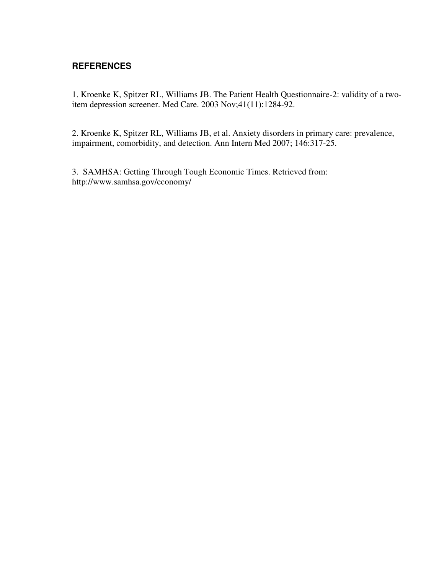### **REFERENCES**

1. Kroenke K, Spitzer RL, Williams JB. The Patient Health Questionnaire-2: validity of a twoitem depression screener. Med Care. 2003 Nov;41(11):1284-92.

2. Kroenke K, Spitzer RL, Williams JB, et al. Anxiety disorders in primary care: prevalence, impairment, comorbidity, and detection. Ann Intern Med 2007; 146:317-25.

3. SAMHSA: Getting Through Tough Economic Times. Retrieved from: http://www.samhsa.gov/economy/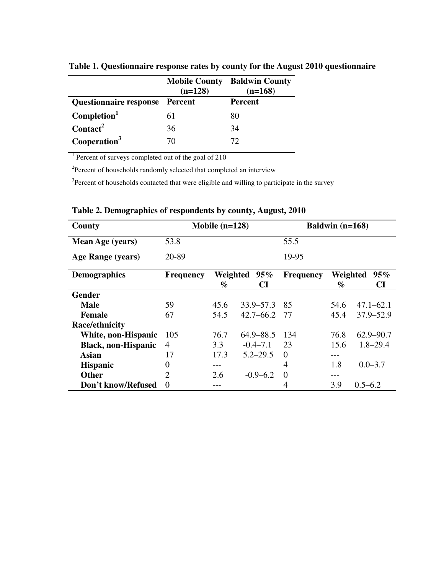|                                       | <b>Mobile County</b><br>$(n=128)$ | <b>Baldwin County</b><br>$(n=168)$ |
|---------------------------------------|-----------------------------------|------------------------------------|
| <b>Questionnaire response</b> Percent |                                   | <b>Percent</b>                     |
| Completion <sup>1</sup>               | 61                                | 80                                 |
| $\text{Contact}^2$                    | 36                                | 34                                 |
| Cooperation <sup>3</sup>              | 70                                | 72                                 |

**Table 1. Questionnaire response rates by county for the August 2010 questionnaire** 

<sup>1</sup> Percent of surveys completed out of the goal of 210

 $2$ Percent of households randomly selected that completed an interview

<sup>3</sup>Percent of households contacted that were eligible and willing to participate in the survey

| County                     |                  | Mobile $(n=128)$ |               |                  | Baldwin $(n=168)$ |               |
|----------------------------|------------------|------------------|---------------|------------------|-------------------|---------------|
| Mean Age (years)           | 53.8             |                  |               | 55.5             |                   |               |
| Age Range (years)          | 20-89            |                  |               | 19-95            |                   |               |
| <b>Demographics</b>        | <b>Frequency</b> | Weighted         | $95\%$        | <b>Frequency</b> | Weighted          | $95\%$        |
|                            |                  | $\%$             | CI            |                  | $\%$              | CI            |
| <b>Gender</b>              |                  |                  |               |                  |                   |               |
| <b>Male</b>                | 59               | 45.6             | $33.9 - 57.3$ | 85               | 54.6              | 47.1–62.1     |
| <b>Female</b>              | 67               | 54.5             | $42.7 - 66.2$ | -77              | 45.4              | 37.9–52.9     |
| <b>Race/ethnicity</b>      |                  |                  |               |                  |                   |               |
| White, non-Hispanic        | 105              | 76.7             | $64.9 - 88.5$ | 134              | 76.8              | $62.9 - 90.7$ |
| <b>Black, non-Hispanic</b> | $\overline{4}$   | 3.3              | $-0.4 - 7.1$  | 23               | 15.6              | $1.8 - 29.4$  |
| Asian                      | 17               | 17.3             | $5.2 - 29.5$  | $\Omega$         |                   |               |
| <b>Hispanic</b>            | $\overline{0}$   |                  |               | 4                | 1.8               | $0.0 - 3.7$   |
| <b>Other</b>               | $\overline{2}$   | 2.6              | $-0.9 - 6.2$  | $\Omega$         |                   |               |
| Don't know/Refused         | $\Omega$         |                  |               | 4                | 3.9               | $0.5 - 6.2$   |

**Table 2. Demographics of respondents by county, August, 2010**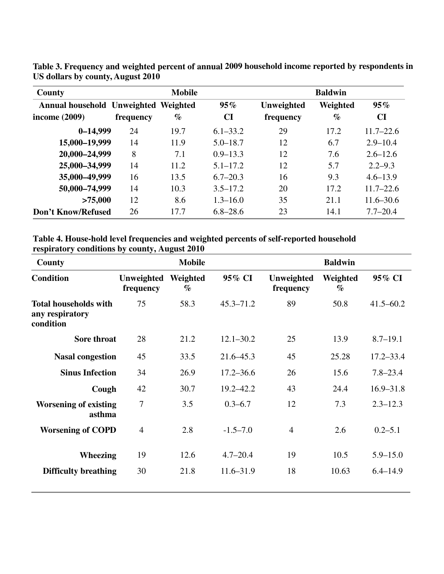| <b>County</b>                        |           | <b>Mobile</b> |              | <b>Baldwin</b> |          |               |
|--------------------------------------|-----------|---------------|--------------|----------------|----------|---------------|
| Annual household Unweighted Weighted |           |               | 95%          | Unweighted     | Weighted | 95%           |
| income (2009)                        | frequency | $\%$          | <b>CI</b>    | frequency      | $\%$     | <b>CI</b>     |
| $0 - 14,999$                         | 24        | 19.7          | $6.1 - 33.2$ | 29             | 17.2     | $11.7 - 22.6$ |
| 15,000-19,999                        | 14        | 11.9          | $5.0 - 18.7$ | 12             | 6.7      | $2.9 - 10.4$  |
| 20,000-24,999                        | 8         | 7.1           | $0.9 - 13.3$ | 12             | 7.6      | $2.6 - 12.6$  |
| 25,000-34,999                        | 14        | 11.2          | $5.1 - 17.2$ | 12             | 5.7      | $2.2 - 9.3$   |
| 35,000-49,999                        | 16        | 13.5          | $6.7 - 20.3$ | 16             | 9.3      | $4.6 - 13.9$  |
| 50,000-74,999                        | 14        | 10.3          | $3.5 - 17.2$ | 20             | 17.2     | $11.7 - 22.6$ |
| >75,000                              | 12        | 8.6           | $1.3 - 16.0$ | 35             | 21.1     | $11.6 - 30.6$ |
| Don't Know/Refused                   | 26        | 17.7          | $6.8 - 28.6$ | 23             | 14.1     | $7.7 - 20.4$  |

**Table 3. Frequency and weighted percent of annual 2009 household income reported by respondents in US dollars by county, August 2010**

#### **Table 4. House-hold level frequencies and weighted percents of self-reported household respiratory conditions by county, August 2010**

| County                                                       |                         | <b>Mobile</b>    |               |                         | <b>Baldwin</b>   |               |
|--------------------------------------------------------------|-------------------------|------------------|---------------|-------------------------|------------------|---------------|
| <b>Condition</b>                                             | Unweighted<br>frequency | Weighted<br>$\%$ | 95% CI        | Unweighted<br>frequency | Weighted<br>$\%$ | 95% CI        |
| <b>Total households with</b><br>any respiratory<br>condition | 75                      | 58.3             | $45.3 - 71.2$ | 89                      | 50.8             | $41.5 - 60.2$ |
| Sore throat                                                  | 28                      | 21.2             | $12.1 - 30.2$ | 25                      | 13.9             | $8.7 - 19.1$  |
| <b>Nasal congestion</b>                                      | 45                      | 33.5             | $21.6 - 45.3$ | 45                      | 25.28            | $17.2 - 33.4$ |
| <b>Sinus Infection</b>                                       | 34                      | 26.9             | $17.2 - 36.6$ | 26                      | 15.6             | $7.8 - 23.4$  |
| Cough                                                        | 42                      | 30.7             | $19.2 - 42.2$ | 43                      | 24.4             | $16.9 - 31.8$ |
| <b>Worsening of existing</b><br>asthma                       | 7                       | 3.5              | $0.3 - 6.7$   | 12                      | 7.3              | $2.3 - 12.3$  |
| <b>Worsening of COPD</b>                                     | $\overline{4}$          | 2.8              | $-1.5 - 7.0$  | $\overline{4}$          | 2.6              | $0.2 - 5.1$   |
| <b>Wheezing</b>                                              | 19                      | 12.6             | $4.7 - 20.4$  | 19                      | 10.5             | $5.9 - 15.0$  |
| <b>Difficulty breathing</b>                                  | 30                      | 21.8             | $11.6 - 31.9$ | 18                      | 10.63            | $6.4 - 14.9$  |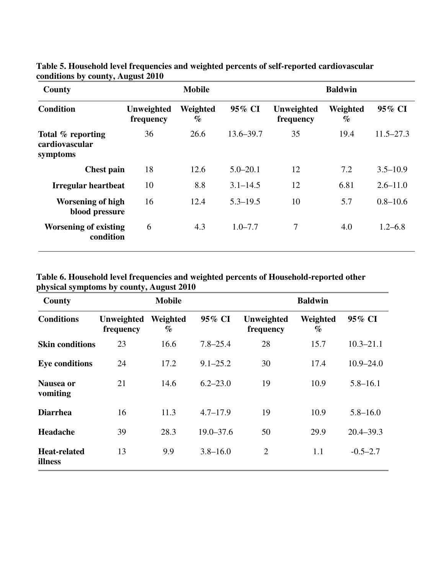| County                                          |                         | <b>Mobile</b>    |               | <b>Baldwin</b>          |                  |               |  |
|-------------------------------------------------|-------------------------|------------------|---------------|-------------------------|------------------|---------------|--|
| <b>Condition</b>                                | Unweighted<br>frequency | Weighted<br>$\%$ | 95% CI        | Unweighted<br>frequency | Weighted<br>$\%$ | 95% CI        |  |
| Total % reporting<br>cardiovascular<br>symptoms | 36                      | 26.6             | $13.6 - 39.7$ | 35                      | 19.4             | $11.5 - 27.3$ |  |
| <b>Chest pain</b>                               | 18                      | 12.6             | $5.0 - 20.1$  | 12                      | 7.2              | $3.5 - 10.9$  |  |
| Irregular heartbeat                             | 10                      | 8.8              | $3.1 - 14.5$  | 12                      | 6.81             | $2.6 - 11.0$  |  |
| <b>Worsening of high</b><br>blood pressure      | 16                      | 12.4             | $5.3 - 19.5$  | 10                      | 5.7              | $0.8 - 10.6$  |  |
| <b>Worsening of existing</b><br>condition       | 6                       | 4.3              | $1.0 - 7.7$   | 7                       | 4.0              | $1.2 - 6.8$   |  |

**Table 5. Household level frequencies and weighted percents of self-reported cardiovascular conditions by county, August 2010** 

**Table 6. Household level frequencies and weighted percents of Household-reported other physical symptoms by county, August 2010** 

| County                         |                         | <b>Mobile</b>    |               |                         | <b>Baldwin</b>   |               |
|--------------------------------|-------------------------|------------------|---------------|-------------------------|------------------|---------------|
| <b>Conditions</b>              | Unweighted<br>frequency | Weighted<br>$\%$ | 95% CI        | Unweighted<br>frequency | Weighted<br>$\%$ | 95% CI        |
| <b>Skin conditions</b>         | 23                      | 16.6             | $7.8 - 25.4$  | 28                      | 15.7             | $10.3 - 21.1$ |
| <b>Eye conditions</b>          | 24                      | 17.2             | $9.1 - 25.2$  | 30                      | 17.4             | $10.9 - 24.0$ |
| Nausea or<br>vomiting          | 21                      | 14.6             | $6.2 - 23.0$  | 19                      | 10.9             | $5.8 - 16.1$  |
| <b>Diarrhea</b>                | 16                      | 11.3             | $4.7 - 17.9$  | 19                      | 10.9             | $5.8 - 16.0$  |
| Headache                       | 39                      | 28.3             | $19.0 - 37.6$ | 50                      | 29.9             | $20.4 - 39.3$ |
| <b>Heat-related</b><br>illness | 13                      | 9.9              | $3.8 - 16.0$  | $\overline{2}$          | 1.1              | $-0.5 - 2.7$  |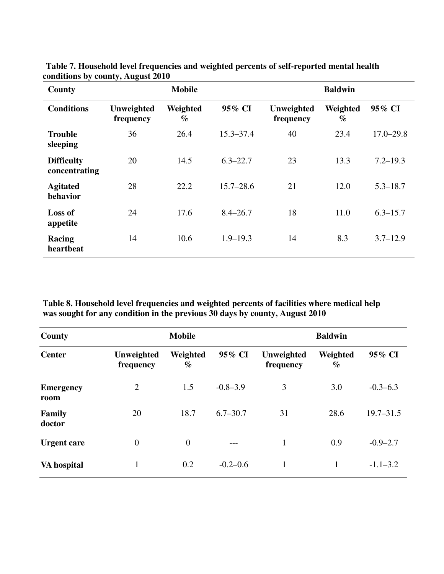| County                             | <b>Mobile</b>           |                  |               | <b>Baldwin</b>          |                  |               |
|------------------------------------|-------------------------|------------------|---------------|-------------------------|------------------|---------------|
| <b>Conditions</b>                  | Unweighted<br>frequency | Weighted<br>$\%$ | 95% CI        | Unweighted<br>frequency | Weighted<br>$\%$ | 95% CI        |
| <b>Trouble</b><br>sleeping         | 36                      | 26.4             | $15.3 - 37.4$ | 40                      | 23.4             | $17.0 - 29.8$ |
| <b>Difficulty</b><br>concentrating | 20                      | 14.5             | $6.3 - 22.7$  | 23                      | 13.3             | $7.2 - 19.3$  |
| <b>Agitated</b><br>behavior        | 28                      | 22.2             | $15.7 - 28.6$ | 21                      | 12.0             | $5.3 - 18.7$  |
| Loss of<br>appetite                | 24                      | 17.6             | $8.4 - 26.7$  | 18                      | 11.0             | $6.3 - 15.7$  |
| Racing<br>heartbeat                | 14                      | 10.6             | $1.9 - 19.3$  | 14                      | 8.3              | $3.7 - 12.9$  |

**Table 7. Household level frequencies and weighted percents of self-reported mental health conditions by county, August 2010** 

**Table 8. Household level frequencies and weighted percents of facilities where medical help was sought for any condition in the previous 30 days by county, August 2010** 

| County                   | <b>Mobile</b>           |                  |              | <b>Baldwin</b>          |                  |               |
|--------------------------|-------------------------|------------------|--------------|-------------------------|------------------|---------------|
| <b>Center</b>            | Unweighted<br>frequency | Weighted<br>$\%$ | 95% CI       | Unweighted<br>frequency | Weighted<br>$\%$ | 95% CI        |
| <b>Emergency</b><br>room | $\overline{2}$          | 1.5              | $-0.8 - 3.9$ | 3                       | 3.0              | $-0.3-6.3$    |
| Family<br>doctor         | 20                      | 18.7             | $6.7 - 30.7$ | 31                      | 28.6             | $19.7 - 31.5$ |
| <b>Urgent care</b>       | $\overline{0}$          | $\mathbf{0}$     | $---$        | 1                       | 0.9              | $-0.9 - 2.7$  |
| VA hospital              | 1                       | 0.2              | $-0.2 - 0.6$ | 1                       |                  | $-1.1 - 3.2$  |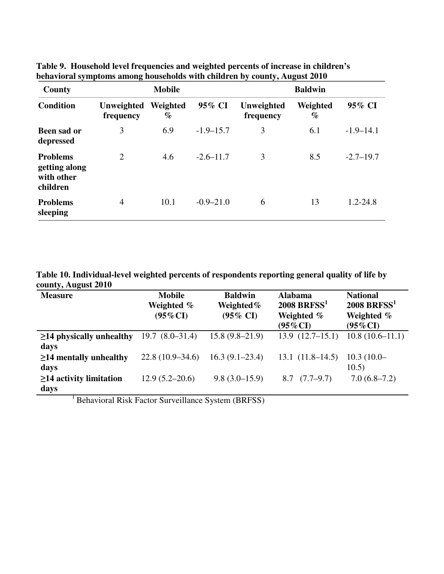| County                                                     | <b>Mobile</b>           |                  |               | <b>Baldwin</b>          |                  |               |
|------------------------------------------------------------|-------------------------|------------------|---------------|-------------------------|------------------|---------------|
| <b>Condition</b>                                           | Unweighted<br>frequency | Weighted<br>$\%$ | 95% CI        | Unweighted<br>frequency | Weighted<br>$\%$ | 95% CI        |
| <b>Been sad or</b><br>depressed                            | 3                       | 6.9              | $-1.9 - 15.7$ | 3                       | 6.1              | $-1.9 - 14.1$ |
| <b>Problems</b><br>getting along<br>with other<br>children | $\overline{2}$          | 4.6              | $-2.6 - 11.7$ | 3                       | 8.5              | $-2.7 - 19.7$ |
| <b>Problems</b><br>sleeping                                | 4                       | 10.1             | $-0.9 - 21.0$ | 6                       | 13               | $1.2 - 24.8$  |

**Table 9. Household level frequencies and weighted percents of increase in children's behavioral symptoms among households with children by county, August 2010** 

**Table 10. Individual-level weighted percents of respondents reporting general quality of life by county, August 2010** 

| <b>Measure</b>                         | <b>Mobile</b><br>Weighted %<br>$(95\%$ CI | <b>Baldwin</b><br>Weighted $%$<br>$(95\% \text{ CI})$ | <b>Alabama</b><br>$2008$ BRFSS <sup>1</sup><br>Weighted %<br>$(95\%$ CI) | <b>National</b><br>$2008$ BRFSS <sup>1</sup><br>Weighted %<br>$(95\%$ CI) |
|----------------------------------------|-------------------------------------------|-------------------------------------------------------|--------------------------------------------------------------------------|---------------------------------------------------------------------------|
| $\geq$ 14 physically unhealthy<br>days | $19.7 (8.0 - 31.4)$                       | $15.8(9.8-21.9)$                                      | $13.9(12.7-15.1)$                                                        | $10.8(10.6-11.1)$                                                         |
| $\geq$ 14 mentally unhealthy<br>days   | $22.8(10.9-34.6)$                         | $16.3(9.1-23.4)$                                      | $13.1(11.8-14.5)$                                                        | $10.3(10.0 -$<br>10.5)                                                    |
| $\geq$ 14 activity limitation<br>days  | $12.9(5.2 - 20.6)$                        | $9.8(3.0-15.9)$                                       | $8.7 \quad (7.7–9.7)$                                                    | $7.0(6.8-7.2)$                                                            |

<sup>1</sup> Behavioral Risk Factor Surveillance System (BRFSS)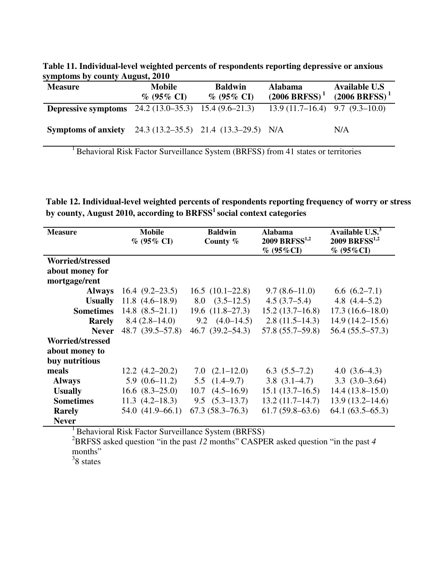**Table 11. Individual-level weighted percents of respondents reporting depressive or anxious symptoms by county August, 2010** 

| <b>Measure</b>                                                   | <b>Mobile</b><br>$\%$ (95% CI) | <b>Baldwin</b><br>$\%$ (95% CI) | <b>Alabama</b><br>$(2006 BRFSS)^{1}$ | <b>Available U.S</b><br>$(2006 BRFSS)^{1}$ |
|------------------------------------------------------------------|--------------------------------|---------------------------------|--------------------------------------|--------------------------------------------|
| <b>Depressive symptoms</b> $24.2 (13.0-35.3)$ $15.4 (9.6-21.3)$  |                                |                                 | $13.9(11.7–16.4)$ 9.7 (9.3–10.0)     |                                            |
| <b>Symptoms of anxiety</b> 24.3 (13.2–35.5) 21.4 (13.3–29.5) N/A |                                |                                 |                                      | N/A                                        |

<sup>1</sup> Behavioral Risk Factor Surveillance System (BRFSS) from 41 states or territories

**Table 12. Individual-level weighted percents of respondents reporting frequency of worry or stress by county, August 2010, according to BRFSS<sup>1</sup>social context categories** 

| <b>Measure</b>          | <b>Mobile</b><br>$% (95\% CI)$ | <b>Baldwin</b><br>County % | <b>Alabama</b><br>2009 BRFSS <sup>1,2</sup><br>$\%$ (95%CI) | Available U.S. <sup>3</sup><br>$2009$ BRFSS <sup>1,2</sup><br>$\%$ (95%CI) |
|-------------------------|--------------------------------|----------------------------|-------------------------------------------------------------|----------------------------------------------------------------------------|
| <b>Worried/stressed</b> |                                |                            |                                                             |                                                                            |
| about money for         |                                |                            |                                                             |                                                                            |
| mortgage/rent           |                                |                            |                                                             |                                                                            |
| <b>Always</b>           | $16.4(9.2-23.5)$               | 16.5(10.1–22.8)            | $9.7(8.6-11.0)$                                             | 6.6(6.2–7.1)                                                               |
| <b>Usually</b>          | $11.8(4.6-18.9)$               | $8.0 \quad (3.5-12.5)$     | 4.5(3.7–5.4)                                                | 4.8 $(4.4-5.2)$                                                            |
| <b>Sometimes</b>        | $14.8$ $(8.5-21.1)$            | $19.6$ $(11.8-27.3)$       | 15.2(13.7–16.8)                                             | $17.3(16.6 - 18.0)$                                                        |
| <b>Rarely</b>           | $8.4(2.8-14.0)$                | $9.2 \quad (4.0-14.5)$     | $2.8(11.5-14.3)$                                            | $14.9(14.2 - 15.6)$                                                        |
| <b>Never</b>            | 48.7 (39.5–57.8)               | $46.7(39.2 - 54.3)$        | $57.8(55.7 - 59.8)$                                         | $56.4(55.5-57.3)$                                                          |
| <b>Worried/stressed</b> |                                |                            |                                                             |                                                                            |
| about money to          |                                |                            |                                                             |                                                                            |
| buy nutritious          |                                |                            |                                                             |                                                                            |
| meals                   | $12.2 \ (4.2 - 20.2)$          | $7.0$ $(2.1-12.0)$         | $6.3(5.5-7.2)$                                              | 4.0 $(3.6-4.3)$                                                            |
| <b>Always</b>           | $5.9(0.6-11.2)$                | $5.5 \quad (1.4–9.7)$      | $3.8(3.1-4.7)$                                              | $3.3(3.0-3.64)$                                                            |
| <b>Usually</b>          | $16.6$ $(8.3-25.0)$            | $10.7 \quad (4.5–16.9)$    | 15.1(13.7–16.5)                                             | $14.4(13.8-15.0)$                                                          |
| <b>Sometimes</b>        | $11.3(4.2 - 18.3)$             | $9.5 \quad (5.3-13.7)$     | $13.2(11.7-14.7)$                                           | $13.9(13.2 - 14.6)$                                                        |
| <b>Rarely</b>           | $54.0(41.9-66.1)$              | $67.3(58.3 - 76.3)$        | $61.7(59.8-63.6)$                                           | $64.1(63.5-65.3)$                                                          |
| <b>Never</b>            |                                |                            |                                                             |                                                                            |

<sup>1</sup> Behavioral Risk Factor Surveillance System (BRFSS)

<sup>2</sup>BRFSS asked question "in the past *12* months" CASPER asked question "in the past *4* months"

3 8 states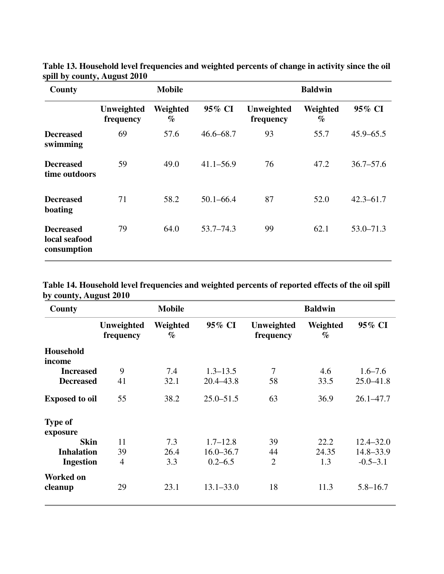| County                                           |                         | <b>Mobile</b>    |               |                         | <b>Baldwin</b>   |               |
|--------------------------------------------------|-------------------------|------------------|---------------|-------------------------|------------------|---------------|
|                                                  | Unweighted<br>frequency | Weighted<br>$\%$ | 95% CI        | Unweighted<br>frequency | Weighted<br>$\%$ | 95% CI        |
| <b>Decreased</b><br>swimming                     | 69                      | 57.6             | $46.6 - 68.7$ | 93                      | 55.7             | $45.9 - 65.5$ |
| <b>Decreased</b><br>time outdoors                | 59                      | 49.0             | $41.1 - 56.9$ | 76                      | 47.2             | $36.7 - 57.6$ |
| <b>Decreased</b><br>boating                      | 71                      | 58.2             | $50.1 - 66.4$ | 87                      | 52.0             | $42.3 - 61.7$ |
| <b>Decreased</b><br>local seafood<br>consumption | 79                      | 64.0             | $53.7 - 74.3$ | 99                      | 62.1             | $53.0 - 71.3$ |

**Table 13. Household level frequencies and weighted percents of change in activity since the oil spill by county, August 2010** 

**Table 14. Household level frequencies and weighted percents of reported effects of the oil spill by county, August 2010**

| County                      |                         | <b>Mobile</b>    |               |                         | <b>Baldwin</b>   |               |
|-----------------------------|-------------------------|------------------|---------------|-------------------------|------------------|---------------|
|                             | Unweighted<br>frequency | Weighted<br>$\%$ | 95% CI        | Unweighted<br>frequency | Weighted<br>$\%$ | 95% CI        |
| <b>Household</b><br>income  |                         |                  |               |                         |                  |               |
| <b>Increased</b>            | 9                       | 7.4              | $1.3 - 13.5$  | $\overline{7}$          | 4.6              | $1.6 - 7.6$   |
| <b>Decreased</b>            | 41                      | 32.1             | $20.4 - 43.8$ | 58                      | 33.5             | $25.0 - 41.8$ |
| <b>Exposed to oil</b>       | 55                      | 38.2             | $25.0 - 51.5$ | 63                      | 36.9             | $26.1 - 47.7$ |
| <b>Type of</b><br>exposure  |                         |                  |               |                         |                  |               |
| <b>Skin</b>                 | 11                      | 7.3              | $1.7 - 12.8$  | 39                      | 22.2             | $12.4 - 32.0$ |
| <b>Inhalation</b>           | 39                      | 26.4             | $16.0 - 36.7$ | 44                      | 24.35            | $14.8 - 33.9$ |
| <b>Ingestion</b>            | 4                       | 3.3              | $0.2 - 6.5$   | $\overline{2}$          | 1.3              | $-0.5-3.1$    |
| <b>Worked on</b><br>cleanup | 29                      | 23.1             | $13.1 - 33.0$ | 18                      | 11.3             | $5.8 - 16.7$  |
|                             |                         |                  |               |                         |                  |               |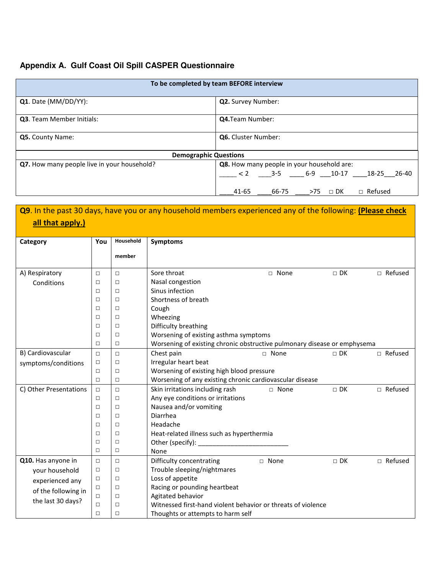# **Appendix A. Gulf Coast Oil Spill CASPER Questionnaire**

| To be completed by team BEFORE interview    |                                                     |  |  |  |  |  |  |
|---------------------------------------------|-----------------------------------------------------|--|--|--|--|--|--|
| Q1. Date (MM/DD/YY):                        | <b>Q2.</b> Survey Number:                           |  |  |  |  |  |  |
| <b>Q3.</b> Team Member Initials:            | <b>Q4.</b> Team Number:                             |  |  |  |  |  |  |
| Q5. County Name:                            | <b>Q6.</b> Cluster Number:                          |  |  |  |  |  |  |
| <b>Demographic Questions</b>                |                                                     |  |  |  |  |  |  |
| Q7. How many people live in your household? | Q8. How many people in your household are:          |  |  |  |  |  |  |
|                                             | $< 2$ 3-5 6-9 10-17 18-25 26-40                     |  |  |  |  |  |  |
|                                             | $\Box$ Refused<br>66-75<br>41-65<br>$>75$ $\Box$ DK |  |  |  |  |  |  |

|                        |        |           | <b>Q9</b> . In the past 30 days, have you or any household members experienced any of the following: (Please check |               |           |                |  |
|------------------------|--------|-----------|--------------------------------------------------------------------------------------------------------------------|---------------|-----------|----------------|--|
| all that apply.)       |        |           |                                                                                                                    |               |           |                |  |
|                        |        |           |                                                                                                                    |               |           |                |  |
| Category               | You    | Household | Symptoms                                                                                                           |               |           |                |  |
|                        |        | member    |                                                                                                                    |               |           |                |  |
|                        |        |           |                                                                                                                    |               |           |                |  |
| A) Respiratory         | $\Box$ | $\Box$    | Sore throat                                                                                                        | $\Box$ None   | $\Box$ DK | $\Box$ Refused |  |
| Conditions             | $\Box$ | $\Box$    | Nasal congestion                                                                                                   |               |           |                |  |
|                        | П      | □         | Sinus infection                                                                                                    |               |           |                |  |
|                        | $\Box$ | □         | Shortness of breath                                                                                                |               |           |                |  |
|                        | □      | □         | Cough                                                                                                              |               |           |                |  |
|                        | о      | □         | Wheezing                                                                                                           |               |           |                |  |
|                        | о      | □         | Difficulty breathing                                                                                               |               |           |                |  |
|                        | П      | □         | Worsening of existing asthma symptoms                                                                              |               |           |                |  |
|                        | о      | □         | Worsening of existing chronic obstructive pulmonary disease or emphysema                                           |               |           |                |  |
| B) Cardiovascular      | $\Box$ | $\Box$    | Chest pain                                                                                                         | $\sqcap$ None | $\Box$ DK | □ Refused      |  |
| symptoms/conditions    | $\Box$ | □         | Irregular heart beat                                                                                               |               |           |                |  |
|                        | $\Box$ | $\Box$    | Worsening of existing high blood pressure                                                                          |               |           |                |  |
|                        | П      | □         | Worsening of any existing chronic cardiovascular disease                                                           |               |           |                |  |
| C) Other Presentations | $\Box$ | $\Box$    | Skin irritations including rash                                                                                    | □ None        | $\Box$ DK | □ Refused      |  |
|                        | □      | □         | Any eye conditions or irritations                                                                                  |               |           |                |  |
|                        | о      | □         | Nausea and/or vomiting                                                                                             |               |           |                |  |
|                        | П      | □         | Diarrhea                                                                                                           |               |           |                |  |
|                        | □      | □         | Headache                                                                                                           |               |           |                |  |
|                        | $\Box$ | $\Box$    | Heat-related illness such as hyperthermia                                                                          |               |           |                |  |
|                        | $\Box$ | $\Box$    | Other (specify):                                                                                                   |               |           |                |  |
|                        | $\Box$ | $\Box$    | None                                                                                                               |               |           |                |  |
| Q10. Has anyone in     | $\Box$ | $\Box$    | Difficulty concentrating                                                                                           | □ None        | $\Box$ DK | □ Refused      |  |
| your household         | $\Box$ | $\Box$    | Trouble sleeping/nightmares                                                                                        |               |           |                |  |
| experienced any        | $\Box$ | □         | Loss of appetite                                                                                                   |               |           |                |  |
| of the following in    | □      | □         | Racing or pounding heartbeat                                                                                       |               |           |                |  |
| the last 30 days?      | $\Box$ | □         | Agitated behavior                                                                                                  |               |           |                |  |
|                        | □      | □         | Witnessed first-hand violent behavior or threats of violence                                                       |               |           |                |  |
|                        | $\Box$ | □         | Thoughts or attempts to harm self                                                                                  |               |           |                |  |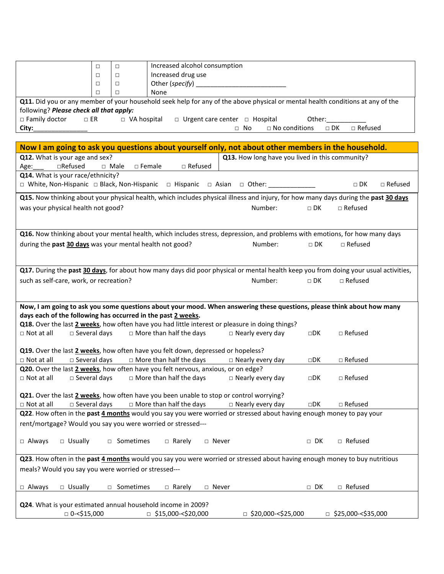|                                                                                                                                 | $\Box$      | $\Box$             | Increased alcohol consumption  |         |                                                                                                                                     |              |                             |                |
|---------------------------------------------------------------------------------------------------------------------------------|-------------|--------------------|--------------------------------|---------|-------------------------------------------------------------------------------------------------------------------------------------|--------------|-----------------------------|----------------|
|                                                                                                                                 | □           | $\Box$             | Increased drug use             |         |                                                                                                                                     |              |                             |                |
|                                                                                                                                 | □           | □                  | Other (specify) _              |         |                                                                                                                                     |              |                             |                |
|                                                                                                                                 | П           | ◻                  | None                           |         |                                                                                                                                     |              |                             |                |
|                                                                                                                                 |             |                    |                                |         | Q11. Did you or any member of your household seek help for any of the above physical or mental health conditions at any of the      |              |                             |                |
| following? Please check all that apply:                                                                                         |             |                    |                                |         |                                                                                                                                     |              |                             |                |
| □ Family doctor<br>$\Box$ ER                                                                                                    |             | $\Box$ VA hospital |                                |         | $\Box$ Urgent care center $\Box$ Hospital                                                                                           | Other:       |                             |                |
| City:                                                                                                                           |             |                    |                                |         | $\Box$ No conditions<br>$\Box$ No                                                                                                   |              | $\Box$ DK<br>$\Box$ Refused |                |
|                                                                                                                                 |             |                    |                                |         |                                                                                                                                     |              |                             |                |
|                                                                                                                                 |             |                    |                                |         | Now I am going to ask you questions about yourself only, not about other members in the household.                                  |              |                             |                |
| Q12. What is your age and sex?<br>$\Box$ Refused<br>Age:                                                                        | $\Box$ Male | $\square$ Female   | □ Refused                      |         | Q13. How long have you lived in this community?                                                                                     |              |                             |                |
| Q14. What is your race/ethnicity?                                                                                               |             |                    |                                |         |                                                                                                                                     |              |                             |                |
| □ White, Non-Hispanic □ Black, Non-Hispanic □ Hispanic □ Asian □ Other: __                                                      |             |                    |                                |         |                                                                                                                                     |              | $\Box$ DK                   | $\Box$ Refused |
|                                                                                                                                 |             |                    |                                |         | Q15. Now thinking about your physical health, which includes physical illness and injury, for how many days during the past 30 days |              |                             |                |
| was your physical health not good?                                                                                              |             |                    |                                |         | Number:                                                                                                                             | $\Box$ DK    | $\Box$ Refused              |                |
|                                                                                                                                 |             |                    |                                |         |                                                                                                                                     |              |                             |                |
|                                                                                                                                 |             |                    |                                |         |                                                                                                                                     |              |                             |                |
|                                                                                                                                 |             |                    |                                |         | Q16. Now thinking about your mental health, which includes stress, depression, and problems with emotions, for how many days        |              |                             |                |
| during the past 30 days was your mental health not good?                                                                        |             |                    |                                |         | Number:                                                                                                                             | $\Box$ DK    | $\Box$ Refused              |                |
|                                                                                                                                 |             |                    |                                |         |                                                                                                                                     |              |                             |                |
|                                                                                                                                 |             |                    |                                |         | Q17. During the past 30 days, for about how many days did poor physical or mental health keep you from doing your usual activities, |              |                             |                |
| such as self-care, work, or recreation?                                                                                         |             |                    |                                |         | Number:                                                                                                                             | $\Box$ DK    | $\Box$ Refused              |                |
|                                                                                                                                 |             |                    |                                |         |                                                                                                                                     |              |                             |                |
|                                                                                                                                 |             |                    |                                |         |                                                                                                                                     |              |                             |                |
|                                                                                                                                 |             |                    |                                |         | Now, I am going to ask you some questions about your mood. When answering these questions, please think about how many              |              |                             |                |
| days each of the following has occurred in the past 2 weeks.                                                                    |             |                    |                                |         |                                                                                                                                     |              |                             |                |
|                                                                                                                                 |             |                    |                                |         | Q18. Over the last 2 weeks, how often have you had little interest or pleasure in doing things?                                     |              |                             |                |
| $\Box$ Not at all<br>$\square$ Several days                                                                                     |             |                    | $\Box$ More than half the days |         | $\Box$ Nearly every day                                                                                                             | $\square$ DK | $\Box$ Refused              |                |
|                                                                                                                                 |             |                    |                                |         |                                                                                                                                     |              |                             |                |
| Q19. Over the last 2 weeks, how often have you felt down, depressed or hopeless?<br>$\square$ Several days<br>$\Box$ Not at all |             |                    | $\Box$ More than half the days |         |                                                                                                                                     | ⊡DK          | $\Box$ Refused              |                |
| Q20. Over the last 2 weeks, how often have you felt nervous, anxious, or on edge?                                               |             |                    |                                |         | $\Box$ Nearly every day                                                                                                             |              |                             |                |
| $\Box$ Not at all<br>$\square$ Several days                                                                                     |             |                    | $\Box$ More than half the days |         | $\Box$ Nearly every day                                                                                                             | $\square$ DK | $\Box$ Refused              |                |
|                                                                                                                                 |             |                    |                                |         |                                                                                                                                     |              |                             |                |
| Q21. Over the last 2 weeks, how often have you been unable to stop or control worrying?                                         |             |                    |                                |         |                                                                                                                                     |              |                             |                |
| $\square$ Several days<br>$\Box$ Not at all                                                                                     |             |                    | $\Box$ More than half the days |         | $\Box$ Nearly every day                                                                                                             | $\square$ DK | $\Box$ Refused              |                |
| Q22. How often in the past 4 months would you say you were worried or stressed about having enough money to pay your            |             |                    |                                |         |                                                                                                                                     |              |                             |                |
| rent/mortgage? Would you say you were worried or stressed---                                                                    |             |                    |                                |         |                                                                                                                                     |              |                             |                |
|                                                                                                                                 |             |                    |                                |         |                                                                                                                                     |              |                             |                |
| $\Box$ Always<br>$\Box$ Usually                                                                                                 |             | □ Sometimes        | $\Box$ Rarely                  | □ Never |                                                                                                                                     | $\Box$ DK    | □ Refused                   |                |
|                                                                                                                                 |             |                    |                                |         |                                                                                                                                     |              |                             |                |
| Q23. How often in the past 4 months would you say you were worried or stressed about having enough money to buy nutritious      |             |                    |                                |         |                                                                                                                                     |              |                             |                |
| meals? Would you say you were worried or stressed---                                                                            |             |                    |                                |         |                                                                                                                                     |              |                             |                |
|                                                                                                                                 |             |                    |                                |         |                                                                                                                                     |              |                             |                |
| $\Box$ Always<br>□ Usually                                                                                                      |             | □ Sometimes        | $\Box$ Rarely                  | □ Never |                                                                                                                                     | $\Box$ DK    | □ Refused                   |                |
|                                                                                                                                 |             |                    |                                |         |                                                                                                                                     |              |                             |                |

| <b>Q24.</b> What is your estimated annual household income in 2009? |                           |                      |                      |
|---------------------------------------------------------------------|---------------------------|----------------------|----------------------|
| $\Box$ 0-<\$15,000                                                  | $\Box$ \$15,000-<\$20,000 | □ \$20,000-<\$25,000 | □ \$25,000-<\$35,000 |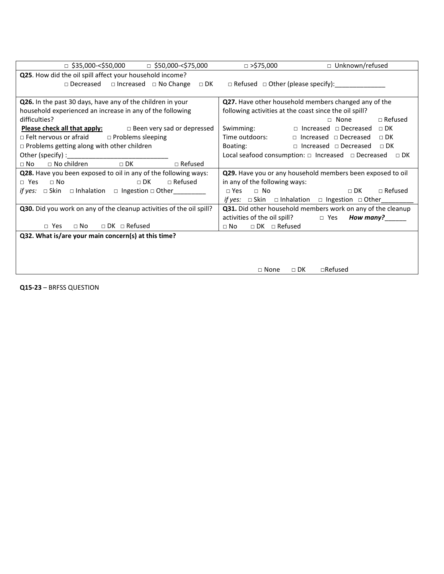| $\Box$ \$35,000-<\$50,000 $\Box$ \$50,000-<\$75,000                   | 000,575 ⊏<br>□ Unknown/refused                                                                             |  |  |  |  |
|-----------------------------------------------------------------------|------------------------------------------------------------------------------------------------------------|--|--|--|--|
| Q25. How did the oil spill affect your household income?              |                                                                                                            |  |  |  |  |
|                                                                       | $\Box$ Decreased $\Box$ Increased $\Box$ No Change $\Box$ DK $\Box$ Refused $\Box$ Other (please specify): |  |  |  |  |
|                                                                       |                                                                                                            |  |  |  |  |
| Q26. In the past 30 days, have any of the children in your            | Q27. Have other household members changed any of the                                                       |  |  |  |  |
| household experienced an increase in any of the following             | following activities at the coast since the oil spill?                                                     |  |  |  |  |
| difficulties?                                                         | $\Box$ Refused<br>$\Box$ None                                                                              |  |  |  |  |
| <b>Please check all that apply:</b> $\Box$ Been very sad or depressed | Swimming: $\Box$ Increased $\Box$ Decreased $\Box$ DK                                                      |  |  |  |  |
| $\Box$ Felt nervous or afraid $\Box$ Problems sleeping                | Time outdoors:<br>$\Box$ Increased $\Box$ Decreased $\Box$ DK                                              |  |  |  |  |
| $\Box$ Problems getting along with other children                     | Boating: $\Box$ Increased $\Box$ Decreased $\Box$ DK                                                       |  |  |  |  |
|                                                                       | Local seafood consumption: $\Box$ Increased $\Box$ Decreased $\Box$ DK                                     |  |  |  |  |
| $\Box$ Refused<br>$\Box$ No children $\Box$ DK<br>$\sqcap$ No         |                                                                                                            |  |  |  |  |
| Q28. Have you been exposed to oil in any of the following ways:       | Q29. Have you or any household members been exposed to oil                                                 |  |  |  |  |
| $\sqcap$ DK<br>$\sqcap$ Refused<br>$\sqcap$ Yes<br>$\Box$ No          | in any of the following ways:                                                                              |  |  |  |  |
| <i>if yes:</i> □ Skin □ Inhalation □ Ingestion □ Other_________       | $\Box$ DK<br>$\Box$ Refused<br>$\Box$ Yes<br>$\Box$ No                                                     |  |  |  |  |
|                                                                       | <i>if yes:</i> $\Box$ Skin $\Box$ Inhalation $\Box$ Ingestion $\Box$ Other                                 |  |  |  |  |
| Q30. Did you work on any of the cleanup activities of the oil spill?  | Q31. Did other household members work on any of the cleanup                                                |  |  |  |  |
|                                                                       | $\alpha$ activities of the oil spill? $\Box$ Yes How many?                                                 |  |  |  |  |
| $\Box$ DK $\Box$ Refused<br>$\Box$ No<br>□ Yes                        | $\Box$ DK $\Box$ Refused<br>$\Box$ No                                                                      |  |  |  |  |
| Q32. What is/are your main concern(s) at this time?                   |                                                                                                            |  |  |  |  |
|                                                                       |                                                                                                            |  |  |  |  |
|                                                                       |                                                                                                            |  |  |  |  |
|                                                                       |                                                                                                            |  |  |  |  |
|                                                                       | $\Box$ Refused<br>$\Box$ DK<br>$\Box$ None                                                                 |  |  |  |  |

Q15-23 – BRFSS QUESTION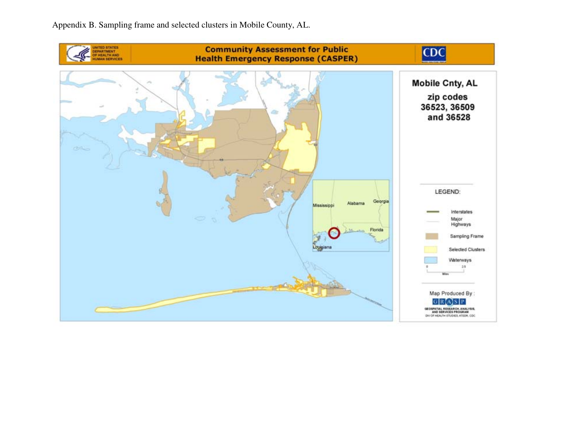Appendix B. Sampling frame and selected clusters in Mobile County, AL.